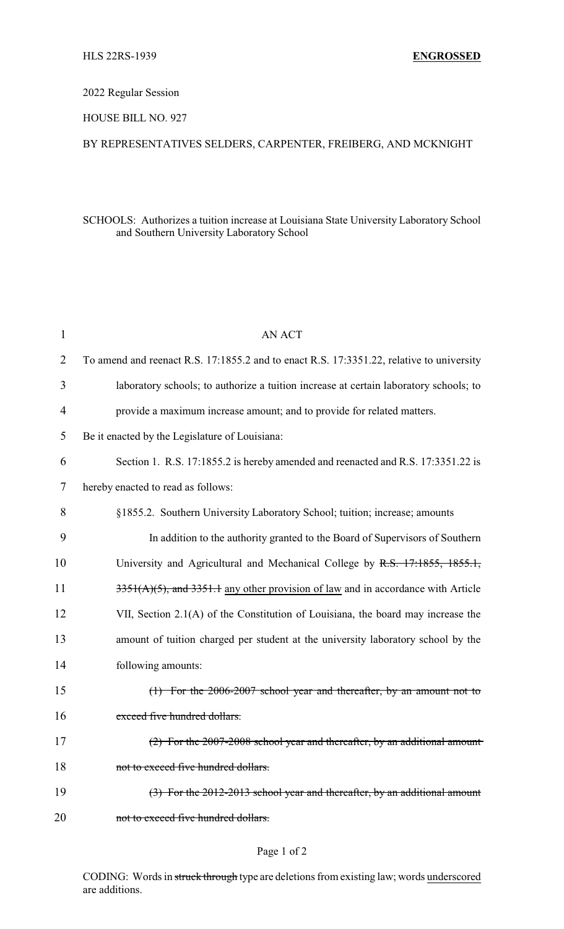## 2022 Regular Session

### HOUSE BILL NO. 927

## BY REPRESENTATIVES SELDERS, CARPENTER, FREIBERG, AND MCKNIGHT

### SCHOOLS: Authorizes a tuition increase at Louisiana State University Laboratory School and Southern University Laboratory School

| 1              | <b>AN ACT</b>                                                                            |
|----------------|------------------------------------------------------------------------------------------|
| $\overline{2}$ | To amend and reenact R.S. 17:1855.2 and to enact R.S. 17:3351.22, relative to university |
| 3              | laboratory schools; to authorize a tuition increase at certain laboratory schools; to    |
| $\overline{4}$ | provide a maximum increase amount; and to provide for related matters.                   |
| 5              | Be it enacted by the Legislature of Louisiana:                                           |
| 6              | Section 1. R.S. 17:1855.2 is hereby amended and reenacted and R.S. 17:3351.22 is         |
| 7              | hereby enacted to read as follows:                                                       |
| 8              | §1855.2. Southern University Laboratory School; tuition; increase; amounts               |
| 9              | In addition to the authority granted to the Board of Supervisors of Southern             |
| 10             | University and Agricultural and Mechanical College by R.S. 17:1855, 1855.1,              |
| 11             | $3351(A)(5)$ , and $3351.1$ any other provision of law and in accordance with Article    |
| 12             | VII, Section 2.1(A) of the Constitution of Louisiana, the board may increase the         |
| 13             | amount of tuition charged per student at the university laboratory school by the         |
| 14             | following amounts:                                                                       |
| 15             | $(1)$ For the 2006-2007 school year and thereafter, by an amount not to                  |
| 16             | exceed five hundred dollars.                                                             |
| 17             | (2) For the 2007-2008 school year and thereafter, by an additional amount                |
| 18             | not to exceed five hundred dollars.                                                      |
| 19             | $(3)$ For the 2012-2013 school year and thereafter, by an additional amount              |
| 20             | not to exceed five hundred dollars.                                                      |
|                |                                                                                          |

# Page 1 of 2

CODING: Words in struck through type are deletions from existing law; words underscored are additions.